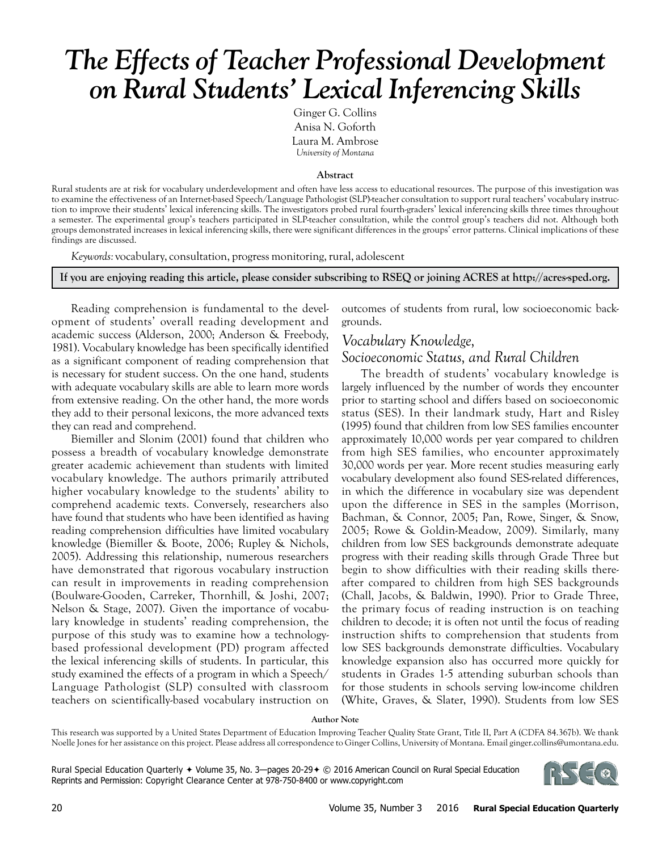# *The Effects of Teacher Professional Development on Rural Students' Lexical Inferencing Skills*

Ginger G. Collins Anisa N. Goforth Laura M. Ambrose *University of Montana*

#### **Abstract**

Rural students are at risk for vocabulary underdevelopment and often have less access to educational resources. The purpose of this investigation was to examine the effectiveness of an Internet-based Speech/Language Pathologist (SLP)-teacher consultation to support rural teachers' vocabulary instruction to improve their students' lexical inferencing skills. The investigators probed rural fourth-graders' lexical inferencing skills three times throughout a semester. The experimental group's teachers participated in SLP-teacher consultation, while the control group's teachers did not. Although both groups demonstrated increases in lexical inferencing skills, there were significant differences in the groups' error patterns. Clinical implications of these findings are discussed.

*Keywords:* vocabulary, consultation, progress monitoring, rural, adolescent

#### **If you are enjoying reading this article, please consider subscribing to RSEQ or joining ACRES at http://acres-sped.org.**

Reading comprehension is fundamental to the development of students' overall reading development and academic success (Alderson, 2000; Anderson & Freebody, 1981). Vocabulary knowledge has been specifically identified as a significant component of reading comprehension that is necessary for student success. On the one hand, students with adequate vocabulary skills are able to learn more words from extensive reading. On the other hand, the more words they add to their personal lexicons, the more advanced texts they can read and comprehend.

Biemiller and Slonim (2001) found that children who possess a breadth of vocabulary knowledge demonstrate greater academic achievement than students with limited vocabulary knowledge. The authors primarily attributed higher vocabulary knowledge to the students' ability to comprehend academic texts. Conversely, researchers also have found that students who have been identified as having reading comprehension difficulties have limited vocabulary knowledge (Biemiller & Boote, 2006; Rupley & Nichols, 2005). Addressing this relationship, numerous researchers have demonstrated that rigorous vocabulary instruction can result in improvements in reading comprehension (Boulware-Gooden, Carreker, Thornhill, & Joshi, 2007; Nelson & Stage, 2007). Given the importance of vocabulary knowledge in students' reading comprehension, the purpose of this study was to examine how a technologybased professional development (PD) program affected the lexical inferencing skills of students. In particular, this study examined the effects of a program in which a Speech/ Language Pathologist (SLP) consulted with classroom teachers on scientifically-based vocabulary instruction on outcomes of students from rural, low socioeconomic backgrounds.

## *Vocabulary Knowledge,*

*Socioeconomic Status, and Rural Children*

The breadth of students' vocabulary knowledge is largely influenced by the number of words they encounter prior to starting school and differs based on socioeconomic status (SES). In their landmark study, Hart and Risley (1995) found that children from low SES families encounter approximately 10,000 words per year compared to children from high SES families, who encounter approximately 30,000 words per year. More recent studies measuring early vocabulary development also found SES-related differences, in which the difference in vocabulary size was dependent upon the difference in SES in the samples (Morrison, Bachman, & Connor, 2005; Pan, Rowe, Singer, & Snow, 2005; Rowe & Goldin-Meadow, 2009). Similarly, many children from low SES backgrounds demonstrate adequate progress with their reading skills through Grade Three but begin to show difficulties with their reading skills thereafter compared to children from high SES backgrounds (Chall, Jacobs, & Baldwin, 1990). Prior to Grade Three, the primary focus of reading instruction is on teaching children to decode; it is often not until the focus of reading instruction shifts to comprehension that students from low SES backgrounds demonstrate difficulties. Vocabulary knowledge expansion also has occurred more quickly for students in Grades 1-5 attending suburban schools than for those students in schools serving low-income children (White, Graves, & Slater, 1990). Students from low SES

#### **Author Note**

This research was supported by a United States Department of Education Improving Teacher Quality State Grant, Title II, Part A (CDFA 84.367b). We thank Noelle Jones for her assistance on this project. Please address all correspondence to Ginger Collins, University of Montana. Email ginger.collins@umontana.edu.

Rural Special Education Quarterly  $\div$  Volume 35, No. 3—pages 20-29 $\div$  © 2016 American Council on Rural Special Education Reprints and Permission: Copyright Clearance Center at 978-750-8400 or www.copyright.com

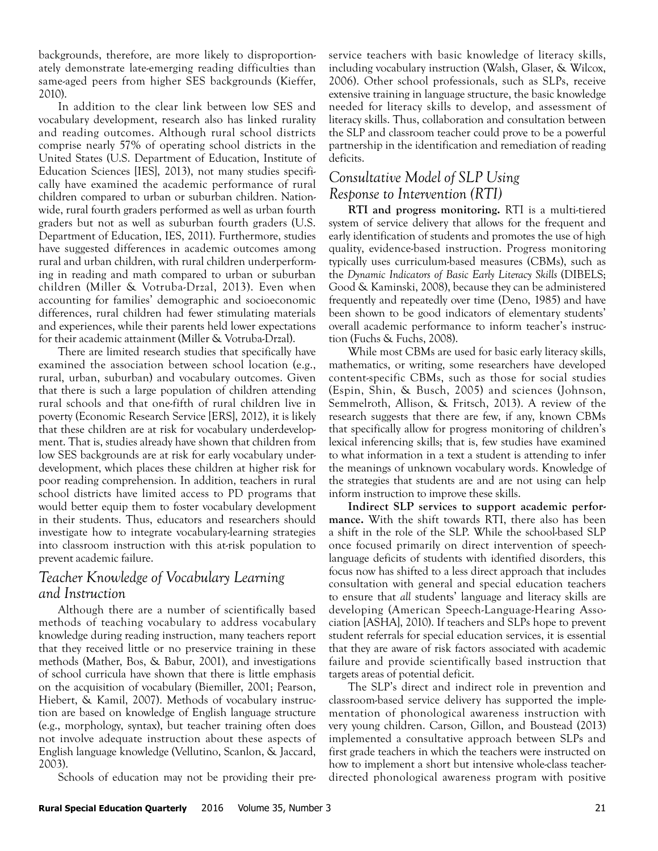backgrounds, therefore, are more likely to disproportionately demonstrate late-emerging reading difficulties than same-aged peers from higher SES backgrounds (Kieffer, 2010).

In addition to the clear link between low SES and vocabulary development, research also has linked rurality and reading outcomes. Although rural school districts comprise nearly 57% of operating school districts in the United States (U.S. Department of Education, Institute of Education Sciences [IES], 2013), not many studies specifically have examined the academic performance of rural children compared to urban or suburban children. Nationwide, rural fourth graders performed as well as urban fourth graders but not as well as suburban fourth graders (U.S. Department of Education, IES, 2011). Furthermore, studies have suggested differences in academic outcomes among rural and urban children, with rural children underperforming in reading and math compared to urban or suburban children (Miller & Votruba-Drzal, 2013). Even when accounting for families' demographic and socioeconomic differences, rural children had fewer stimulating materials and experiences, while their parents held lower expectations for their academic attainment (Miller & Votruba-Drzal).

There are limited research studies that specifically have examined the association between school location (e.g., rural, urban, suburban) and vocabulary outcomes. Given that there is such a large population of children attending rural schools and that one-fifth of rural children live in poverty (Economic Research Service [ERS], 2012), it is likely that these children are at risk for vocabulary underdevelopment. That is, studies already have shown that children from low SES backgrounds are at risk for early vocabulary underdevelopment, which places these children at higher risk for poor reading comprehension. In addition, teachers in rural school districts have limited access to PD programs that would better equip them to foster vocabulary development in their students. Thus, educators and researchers should investigate how to integrate vocabulary-learning strategies into classroom instruction with this at-risk population to prevent academic failure.

## *Teacher Knowledge of Vocabulary Learning and Instruction*

Although there are a number of scientifically based methods of teaching vocabulary to address vocabulary knowledge during reading instruction, many teachers report that they received little or no preservice training in these methods (Mather, Bos, & Babur, 2001), and investigations of school curricula have shown that there is little emphasis on the acquisition of vocabulary (Biemiller, 2001; Pearson, Hiebert, & Kamil, 2007). Methods of vocabulary instruction are based on knowledge of English language structure (e.g., morphology, syntax), but teacher training often does not involve adequate instruction about these aspects of English language knowledge (Vellutino, Scanlon, & Jaccard, 2003).

Schools of education may not be providing their pre-

service teachers with basic knowledge of literacy skills, including vocabulary instruction (Walsh, Glaser, & Wilcox, 2006). Other school professionals, such as SLPs, receive extensive training in language structure, the basic knowledge needed for literacy skills to develop, and assessment of literacy skills. Thus, collaboration and consultation between the SLP and classroom teacher could prove to be a powerful partnership in the identification and remediation of reading deficits.

## *Consultative Model of SLP Using Response to Intervention (RTI)*

**RTI and progress monitoring.** RTI is a multi-tiered system of service delivery that allows for the frequent and early identification of students and promotes the use of high quality, evidence-based instruction. Progress monitoring typically uses curriculum-based measures (CBMs), such as the *Dynamic Indicators of Basic Early Literacy Skills* (DIBELS; Good & Kaminski, 2008), because they can be administered frequently and repeatedly over time (Deno, 1985) and have been shown to be good indicators of elementary students' overall academic performance to inform teacher's instruction (Fuchs & Fuchs, 2008).

While most CBMs are used for basic early literacy skills, mathematics, or writing, some researchers have developed content-specific CBMs, such as those for social studies (Espin, Shin, & Busch, 2005) and sciences (Johnson, Semmelroth, Allison, & Fritsch, 2013). A review of the research suggests that there are few, if any, known CBMs that specifically allow for progress monitoring of children's lexical inferencing skills; that is, few studies have examined to what information in a text a student is attending to infer the meanings of unknown vocabulary words. Knowledge of the strategies that students are and are not using can help inform instruction to improve these skills.

**Indirect SLP services to support academic performance.** With the shift towards RTI, there also has been a shift in the role of the SLP. While the school-based SLP once focused primarily on direct intervention of speechlanguage deficits of students with identified disorders, this focus now has shifted to a less direct approach that includes consultation with general and special education teachers to ensure that *all* students' language and literacy skills are developing (American Speech-Language-Hearing Association [ASHA], 2010). If teachers and SLPs hope to prevent student referrals for special education services, it is essential that they are aware of risk factors associated with academic failure and provide scientifically based instruction that targets areas of potential deficit.

The SLP's direct and indirect role in prevention and classroom-based service delivery has supported the implementation of phonological awareness instruction with very young children. Carson, Gillon, and Boustead (2013) implemented a consultative approach between SLPs and first grade teachers in which the teachers were instructed on how to implement a short but intensive whole-class teacherdirected phonological awareness program with positive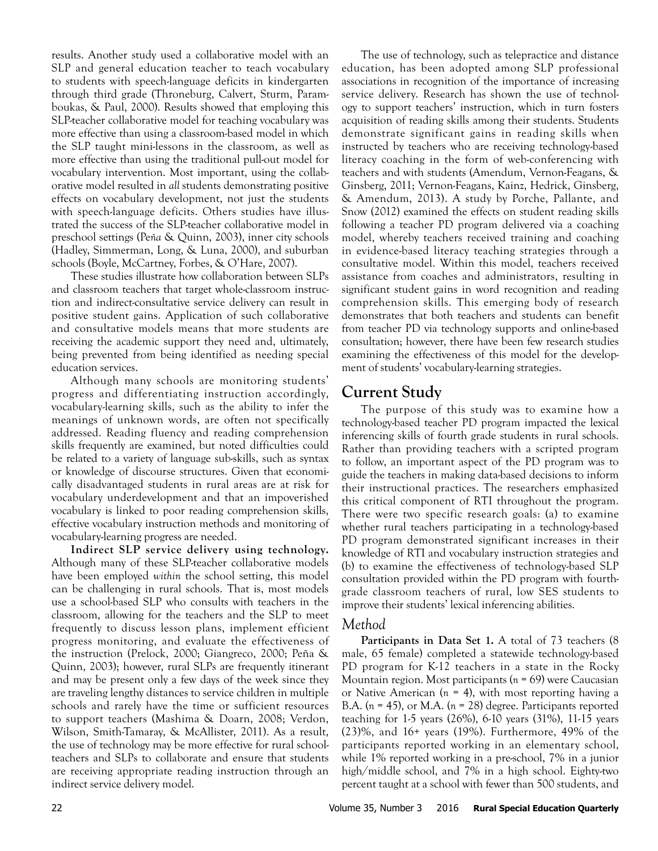results. Another study used a collaborative model with an SLP and general education teacher to teach vocabulary to students with speech-language deficits in kindergarten through third grade (Throneburg, Calvert, Sturm, Paramboukas, & Paul, 2000). Results showed that employing this SLP-teacher collaborative model for teaching vocabulary was more effective than using a classroom-based model in which the SLP taught mini-lessons in the classroom, as well as more effective than using the traditional pull-out model for vocabulary intervention. Most important, using the collaborative model resulted in *all* students demonstrating positive effects on vocabulary development, not just the students with speech-language deficits. Others studies have illustrated the success of the SLP-teacher collaborative model in preschool settings (Pe*ña* & Quinn, 2003), inner city schools (Hadley, Simmerman, Long, & Luna, 2000), and suburban schools (Boyle, McCartney, Forbes, & O'Hare, 2007).

These studies illustrate how collaboration between SLPs and classroom teachers that target whole-classroom instruction and indirect-consultative service delivery can result in positive student gains. Application of such collaborative and consultative models means that more students are receiving the academic support they need and, ultimately, being prevented from being identified as needing special education services.

Although many schools are monitoring students' progress and differentiating instruction accordingly, vocabulary-learning skills, such as the ability to infer the meanings of unknown words, are often not specifically addressed. Reading fluency and reading comprehension skills frequently are examined, but noted difficulties could be related to a variety of language sub-skills, such as syntax or knowledge of discourse structures. Given that economically disadvantaged students in rural areas are at risk for vocabulary underdevelopment and that an impoverished vocabulary is linked to poor reading comprehension skills, effective vocabulary instruction methods and monitoring of vocabulary-learning progress are needed.

**Indirect SLP service delivery using technology.**  Although many of these SLP-teacher collaborative models have been employed *within* the school setting, this model can be challenging in rural schools. That is, most models use a school-based SLP who consults with teachers in the classroom, allowing for the teachers and the SLP to meet frequently to discuss lesson plans, implement efficient progress monitoring, and evaluate the effectiveness of the instruction (Prelock, 2000; Giangreco, 2000; Peña & Quinn, 2003); however, rural SLPs are frequently itinerant and may be present only a few days of the week since they are traveling lengthy distances to service children in multiple schools and rarely have the time or sufficient resources to support teachers (Mashima & Doarn, 2008; Verdon, Wilson, Smith-Tamaray, & McAllister, 2011). As a result, the use of technology may be more effective for rural schoolteachers and SLPs to collaborate and ensure that students are receiving appropriate reading instruction through an indirect service delivery model.

The use of technology, such as telepractice and distance education, has been adopted among SLP professional associations in recognition of the importance of increasing service delivery. Research has shown the use of technology to support teachers' instruction, which in turn fosters acquisition of reading skills among their students. Students demonstrate significant gains in reading skills when instructed by teachers who are receiving technology-based literacy coaching in the form of web-conferencing with teachers and with students (Amendum, Vernon-Feagans, & Ginsberg, 2011; Vernon-Feagans, Kainz, Hedrick, Ginsberg, & Amendum, 2013). A study by Porche, Pallante, and Snow (2012) examined the effects on student reading skills following a teacher PD program delivered via a coaching model, whereby teachers received training and coaching in evidence-based literacy teaching strategies through a consultative model. Within this model, teachers received assistance from coaches and administrators, resulting in significant student gains in word recognition and reading comprehension skills. This emerging body of research demonstrates that both teachers and students can benefit from teacher PD via technology supports and online-based consultation; however, there have been few research studies examining the effectiveness of this model for the development of students' vocabulary-learning strategies.

# **Current Study**

The purpose of this study was to examine how a technology-based teacher PD program impacted the lexical inferencing skills of fourth grade students in rural schools. Rather than providing teachers with a scripted program to follow, an important aspect of the PD program was to guide the teachers in making data-based decisions to inform their instructional practices. The researchers emphasized this critical component of RTI throughout the program. There were two specific research goals: (a) to examine whether rural teachers participating in a technology-based PD program demonstrated significant increases in their knowledge of RTI and vocabulary instruction strategies and (b) to examine the effectiveness of technology-based SLP consultation provided within the PD program with fourthgrade classroom teachers of rural, low SES students to improve their students' lexical inferencing abilities.

## *Method*

**Participants in Data Set 1.** A total of 73 teachers (8 male, 65 female) completed a statewide technology-based PD program for K-12 teachers in a state in the Rocky Mountain region. Most participants (*n* = 69) were Caucasian or Native American (*n* = 4), with most reporting having a B.A. (*n* = 45), or M.A. (*n* = 28) degree. Participants reported teaching for 1-5 years (26%), 6-10 years (31%), 11-15 years (23)%, and 16+ years (19%). Furthermore, 49% of the participants reported working in an elementary school, while 1% reported working in a pre-school, 7% in a junior high/middle school, and 7% in a high school. Eighty-two percent taught at a school with fewer than 500 students, and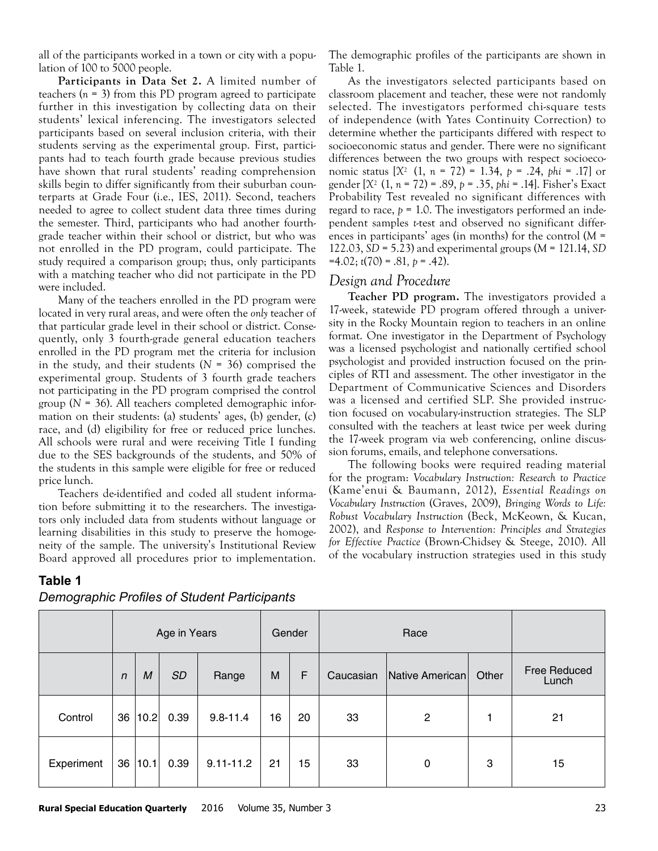all of the participants worked in a town or city with a population of 100 to 5000 people.

**Participants in Data Set 2.** A limited number of teachers  $(n = 3)$  from this PD program agreed to participate further in this investigation by collecting data on their students' lexical inferencing. The investigators selected participants based on several inclusion criteria, with their students serving as the experimental group. First, participants had to teach fourth grade because previous studies have shown that rural students' reading comprehension skills begin to differ significantly from their suburban counterparts at Grade Four (i.e., IES, 2011). Second, teachers needed to agree to collect student data three times during the semester. Third, participants who had another fourthgrade teacher within their school or district, but who was not enrolled in the PD program, could participate. The study required a comparison group; thus, only participants with a matching teacher who did not participate in the PD were included.

Many of the teachers enrolled in the PD program were located in very rural areas, and were often the *only* teacher of that particular grade level in their school or district. Consequently, only 3 fourth-grade general education teachers enrolled in the PD program met the criteria for inclusion in the study, and their students  $(N = 36)$  comprised the experimental group. Students of 3 fourth grade teachers not participating in the PD program comprised the control group (*N* = 36). All teachers completed demographic information on their students: (a) students' ages, (b) gender, (c) race, and (d) eligibility for free or reduced price lunches. All schools were rural and were receiving Title I funding due to the SES backgrounds of the students, and 50% of the students in this sample were eligible for free or reduced price lunch.

Teachers de-identified and coded all student information before submitting it to the researchers. The investigators only included data from students without language or learning disabilities in this study to preserve the homogeneity of the sample. The university's Institutional Review Board approved all procedures prior to implementation. The demographic profiles of the participants are shown in Table 1.

As the investigators selected participants based on classroom placement and teacher, these were not randomly selected. The investigators performed chi-square tests of independence (with Yates Continuity Correction) to determine whether the participants differed with respect to socioeconomic status and gender. There were no significant differences between the two groups with respect socioeconomic status [*X*2 (1, *n* = 72) = 1.34, *p* = .24, *phi* = .17] or gender [*X*2 (1, *n* = 72) = .89, *p* = .35, *phi* = .14]. Fisher's Exact Probability Test revealed no significant differences with regard to race, *p* = 1.0. The investigators performed an independent samples *t*-test and observed no significant differences in participants' ages (in months) for the control (*M* = 122.03, *SD =* 5.23) and experimental groups (*M* = 121.14, *SD =*4.02; *t*(70) *=* .81*, p* = .42).

## *Design and Procedure*

**Teacher PD program.** The investigators provided a 17-week, statewide PD program offered through a university in the Rocky Mountain region to teachers in an online format. One investigator in the Department of Psychology was a licensed psychologist and nationally certified school psychologist and provided instruction focused on the principles of RTI and assessment. The other investigator in the Department of Communicative Sciences and Disorders was a licensed and certified SLP. She provided instruction focused on vocabulary-instruction strategies. The SLP consulted with the teachers at least twice per week during the 17-week program via web conferencing, online discussion forums, emails, and telephone conversations.

The following books were required reading material for the program: *Vocabulary Instruction: Research to Practice*  (Kame'enui & Baumann, 2012), *Essential Readings on Vocabulary Instruction* (Graves, 2009), *Bringing Words to Life: Robust Vocabulary Instruction* (Beck, McKeown, & Kucan, 2002), and *Response to Intervention: Principles and Strategies for Effective Practice* (Brown-Chidsey & Steege, 2010). All of the vocabulary instruction strategies used in this study

#### **Table 1**

*Demographic Profiles of Student Participants*

|            | Age in Years   |              |           | Gender        |    | Race |           |                 |       |                       |
|------------|----------------|--------------|-----------|---------------|----|------|-----------|-----------------|-------|-----------------------|
|            | $\overline{n}$ | $\mathcal M$ | <b>SD</b> | Range         | M  | F    | Caucasian | Native American | Other | Free Reduced<br>Lunch |
| Control    | 36             | 10.2         | 0.39      | $9.8 - 11.4$  | 16 | 20   | 33        | $\overline{2}$  |       | 21                    |
| Experiment | 36             | 10.1         | 0.39      | $9.11 - 11.2$ | 21 | 15   | 33        | 0               | 3     | 15                    |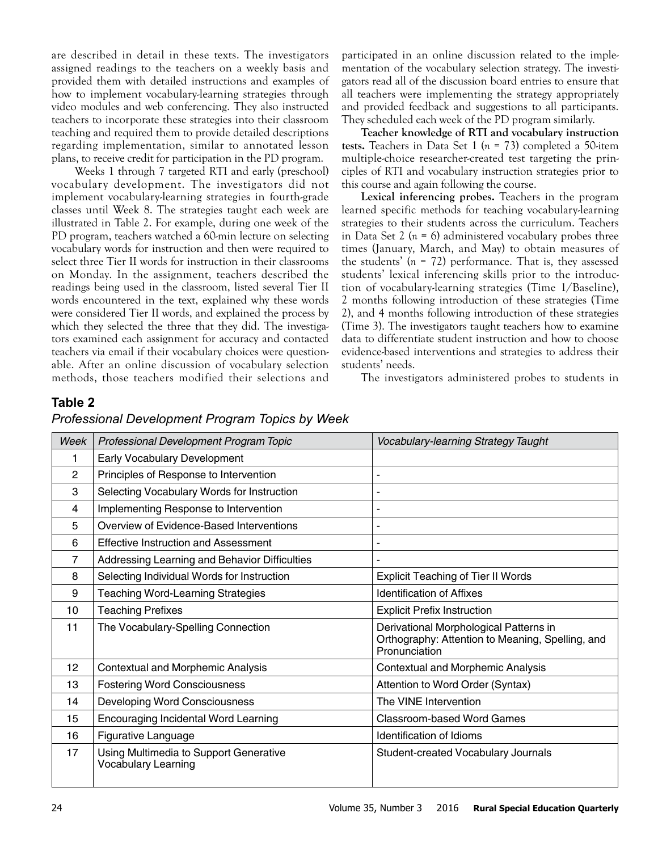are described in detail in these texts. The investigators assigned readings to the teachers on a weekly basis and provided them with detailed instructions and examples of how to implement vocabulary-learning strategies through video modules and web conferencing. They also instructed teachers to incorporate these strategies into their classroom teaching and required them to provide detailed descriptions regarding implementation, similar to annotated lesson plans, to receive credit for participation in the PD program.

 Weeks 1 through 7 targeted RTI and early (preschool) vocabulary development. The investigators did not implement vocabulary-learning strategies in fourth-grade classes until Week 8. The strategies taught each week are illustrated in Table 2. For example, during one week of the PD program, teachers watched a 60-min lecture on selecting vocabulary words for instruction and then were required to select three Tier II words for instruction in their classrooms on Monday. In the assignment, teachers described the readings being used in the classroom, listed several Tier II words encountered in the text, explained why these words were considered Tier II words, and explained the process by which they selected the three that they did. The investigators examined each assignment for accuracy and contacted teachers via email if their vocabulary choices were questionable. After an online discussion of vocabulary selection methods, those teachers modified their selections and

participated in an online discussion related to the implementation of the vocabulary selection strategy. The investigators read all of the discussion board entries to ensure that all teachers were implementing the strategy appropriately and provided feedback and suggestions to all participants. They scheduled each week of the PD program similarly.

**Teacher knowledge of RTI and vocabulary instruction tests.** Teachers in Data Set 1 (*n* = 73) completed a 50-item multiple-choice researcher-created test targeting the principles of RTI and vocabulary instruction strategies prior to this course and again following the course.

**Lexical inferencing probes.** Teachers in the program learned specific methods for teaching vocabulary-learning strategies to their students across the curriculum. Teachers in Data Set 2 (*n* = 6) administered vocabulary probes three times (January, March, and May) to obtain measures of the students' (*n* = 72) performance. That is, they assessed students' lexical inferencing skills prior to the introduction of vocabulary-learning strategies (Time 1/Baseline), 2 months following introduction of these strategies (Time 2), and 4 months following introduction of these strategies (Time 3). The investigators taught teachers how to examine data to differentiate student instruction and how to choose evidence-based interventions and strategies to address their students' needs.

The investigators administered probes to students in

### **Table 2**

| Week           | Professional Development Program Topic                               | <b>Vocabulary-learning Strategy Taught</b>                                                                  |
|----------------|----------------------------------------------------------------------|-------------------------------------------------------------------------------------------------------------|
| 1              | Early Vocabulary Development                                         |                                                                                                             |
| $\overline{2}$ | Principles of Response to Intervention                               | ۰                                                                                                           |
| 3              | Selecting Vocabulary Words for Instruction                           | ۰                                                                                                           |
| 4              | Implementing Response to Intervention                                | ۰                                                                                                           |
| 5              | Overview of Evidence-Based Interventions                             |                                                                                                             |
| 6              | <b>Effective Instruction and Assessment</b>                          |                                                                                                             |
| 7              | Addressing Learning and Behavior Difficulties                        |                                                                                                             |
| 8              | Selecting Individual Words for Instruction                           | <b>Explicit Teaching of Tier II Words</b>                                                                   |
| 9              | <b>Teaching Word-Learning Strategies</b>                             | <b>Identification of Affixes</b>                                                                            |
| 10             | <b>Teaching Prefixes</b>                                             | <b>Explicit Prefix Instruction</b>                                                                          |
| 11             | The Vocabulary-Spelling Connection                                   | Derivational Morphological Patterns in<br>Orthography: Attention to Meaning, Spelling, and<br>Pronunciation |
| 12             | Contextual and Morphemic Analysis                                    | Contextual and Morphemic Analysis                                                                           |
| 13             | <b>Fostering Word Consciousness</b>                                  | Attention to Word Order (Syntax)                                                                            |
| 14             | Developing Word Consciousness                                        | The VINE Intervention                                                                                       |
| 15             | Encouraging Incidental Word Learning                                 | <b>Classroom-based Word Games</b>                                                                           |
| 16             | <b>Figurative Language</b>                                           | <b>Identification of Idioms</b>                                                                             |
| 17             | Using Multimedia to Support Generative<br><b>Vocabulary Learning</b> | <b>Student-created Vocabulary Journals</b>                                                                  |

#### *Professional Development Program Topics by Week*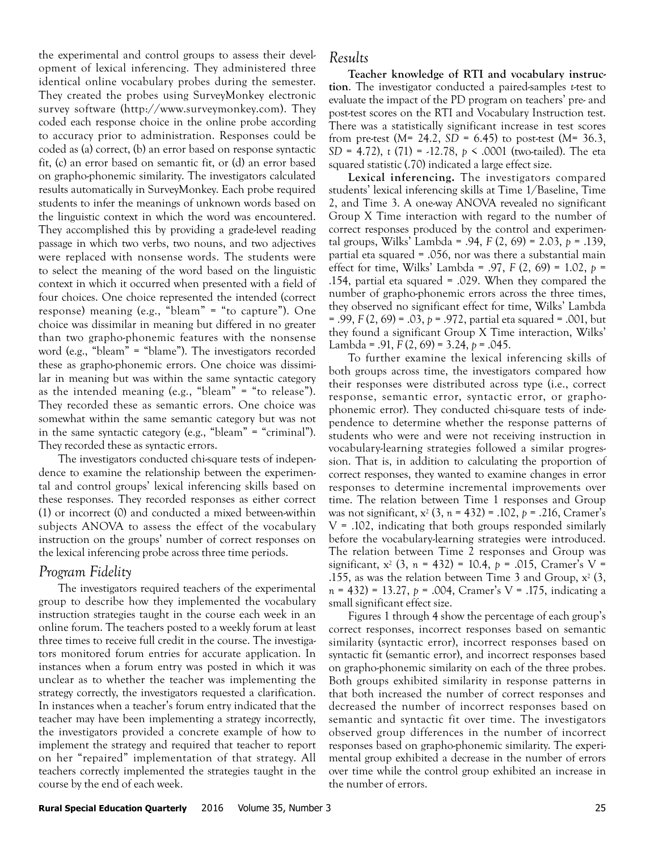the experimental and control groups to assess their development of lexical inferencing. They administered three identical online vocabulary probes during the semester. They created the probes using SurveyMonkey electronic survey software (http://www.surveymonkey.com). They coded each response choice in the online probe according to accuracy prior to administration. Responses could be coded as (a) correct, (b) an error based on response syntactic fit, (c) an error based on semantic fit, or (d) an error based on grapho-phonemic similarity. The investigators calculated results automatically in SurveyMonkey. Each probe required students to infer the meanings of unknown words based on the linguistic context in which the word was encountered. They accomplished this by providing a grade-level reading passage in which two verbs, two nouns, and two adjectives were replaced with nonsense words. The students were to select the meaning of the word based on the linguistic context in which it occurred when presented with a field of four choices. One choice represented the intended (correct response) meaning (e.g., "bleam" = "to capture"). One choice was dissimilar in meaning but differed in no greater than two grapho-phonemic features with the nonsense word (e.g., "bleam" = "blame"). The investigators recorded these as grapho-phonemic errors. One choice was dissimilar in meaning but was within the same syntactic category as the intended meaning (e.g., "bleam" = "to release"). They recorded these as semantic errors. One choice was somewhat within the same semantic category but was not in the same syntactic category (e.g., "bleam" = "criminal"). They recorded these as syntactic errors.

The investigators conducted chi-square tests of independence to examine the relationship between the experimental and control groups' lexical inferencing skills based on these responses. They recorded responses as either correct (1) or incorrect (0) and conducted a mixed between-within subjects ANOVA to assess the effect of the vocabulary instruction on the groups' number of correct responses on the lexical inferencing probe across three time periods.

## *Program Fidelity*

The investigators required teachers of the experimental group to describe how they implemented the vocabulary instruction strategies taught in the course each week in an online forum. The teachers posted to a weekly forum at least three times to receive full credit in the course. The investigators monitored forum entries for accurate application. In instances when a forum entry was posted in which it was unclear as to whether the teacher was implementing the strategy correctly, the investigators requested a clarification. In instances when a teacher's forum entry indicated that the teacher may have been implementing a strategy incorrectly, the investigators provided a concrete example of how to implement the strategy and required that teacher to report on her "repaired" implementation of that strategy. All teachers correctly implemented the strategies taught in the course by the end of each week.

#### *Results*

**Teacher knowledge of RTI and vocabulary instruction**. The investigator conducted a paired-samples *t*-test to evaluate the impact of the PD program on teachers' pre- and post-test scores on the RTI and Vocabulary Instruction test. There was a statistically significant increase in test scores from pre-test (*M*= 24.2, *SD* = 6.45) to post-test (*M*= 36.3, *SD* = 4.72), *t* (71) = -12.78, *p* < .0001 (two-tailed). The eta squared statistic (.70) indicated a large effect size.

**Lexical inferencing.** The investigators compared students' lexical inferencing skills at Time 1/Baseline, Time 2, and Time 3. A one-way ANOVA revealed no significant Group X Time interaction with regard to the number of correct responses produced by the control and experimental groups, Wilks' Lambda = .94, *F* (2, 69) = 2.03, *p* = .139, partial eta squared = .056, nor was there a substantial main effect for time, Wilks' Lambda = .97, *F* (2, 69) = 1.02, *p* = .154, partial eta squared = .029. When they compared the number of grapho-phonemic errors across the three times, they observed no significant effect for time, Wilks' Lambda = .99, *F* (2, 69) = .03, *p* = .972, partial eta squared = .001, but they found a significant Group X Time interaction, Wilks' Lambda = .91, *F* (2, 69) = 3.24, *p* = .045.

To further examine the lexical inferencing skills of both groups across time, the investigators compared how their responses were distributed across type (i.e., correct response, semantic error, syntactic error, or graphophonemic error). They conducted chi-square tests of independence to determine whether the response patterns of students who were and were not receiving instruction in vocabulary-learning strategies followed a similar progression. That is, in addition to calculating the proportion of correct responses, they wanted to examine changes in error responses to determine incremental improvements over time. The relation between Time 1 responses and Group was not significant, x2 (3, *n* = 432) = .102, *p* = .216, Cramer's  $V = .102$ , indicating that both groups responded similarly before the vocabulary-learning strategies were introduced. The relation between Time 2 responses and Group was significant,  $x^2$  (3,  $n = 432$ ) = 10.4,  $p = .015$ , Cramer's V = .155, as was the relation between Time 3 and Group,  $x^2$  (3, *n* = 432) = 13.27, *p* = .004, Cramer's V = .175, indicating a small significant effect size.

Figures 1 through 4 show the percentage of each group's correct responses, incorrect responses based on semantic similarity (syntactic error), incorrect responses based on syntactic fit (semantic error), and incorrect responses based on grapho-phonemic similarity on each of the three probes. Both groups exhibited similarity in response patterns in that both increased the number of correct responses and decreased the number of incorrect responses based on semantic and syntactic fit over time. The investigators observed group differences in the number of incorrect responses based on grapho-phonemic similarity. The experimental group exhibited a decrease in the number of errors over time while the control group exhibited an increase in the number of errors.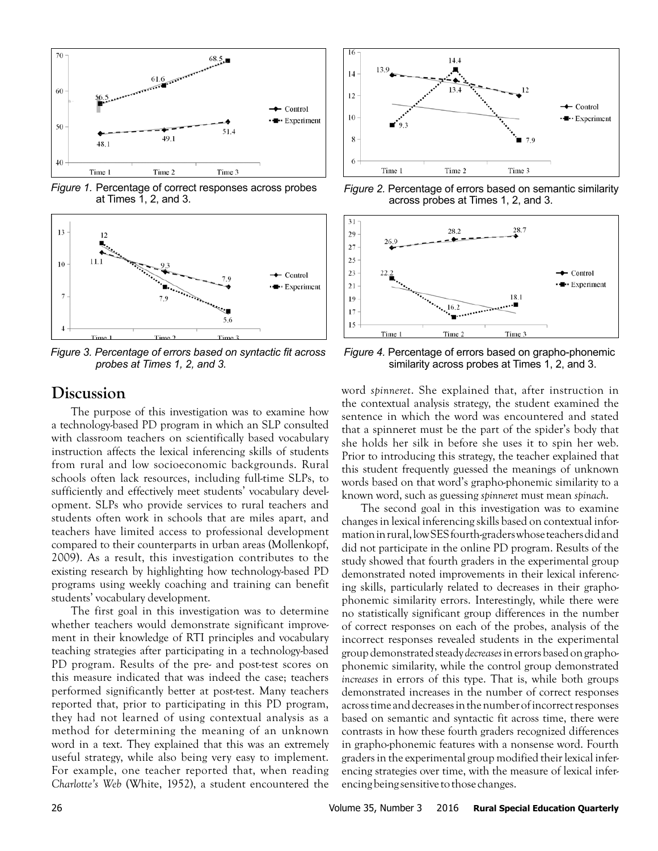

*Figure 1.* Percentage of correct responses across probes at Times 1, 2, and 3.



*Figure 3. Percentage of errors based on syntactic fit across probes at Times 1, 2, and 3.*



*Figure 2.* Percentage of errors based on semantic similarity across probes at Times 1, 2, and 3.



*Figure 4.* Percentage of errors based on grapho-phonemic similarity across probes at Times 1, 2, and 3.

## **Discussion**

The purpose of this investigation was to examine how a technology-based PD program in which an SLP consulted with classroom teachers on scientifically based vocabulary instruction affects the lexical inferencing skills of students from rural and low socioeconomic backgrounds. Rural schools often lack resources, including full-time SLPs, to sufficiently and effectively meet students' vocabulary development. SLPs who provide services to rural teachers and students often work in schools that are miles apart, and teachers have limited access to professional development compared to their counterparts in urban areas (Mollenkopf, 2009). As a result, this investigation contributes to the existing research by highlighting how technology-based PD programs using weekly coaching and training can benefit students' vocabulary development.

The first goal in this investigation was to determine whether teachers would demonstrate significant improvement in their knowledge of RTI principles and vocabulary teaching strategies after participating in a technology-based PD program. Results of the pre- and post-test scores on this measure indicated that was indeed the case; teachers performed significantly better at post-test. Many teachers reported that, prior to participating in this PD program, they had not learned of using contextual analysis as a method for determining the meaning of an unknown word in a text. They explained that this was an extremely useful strategy, while also being very easy to implement. For example, one teacher reported that, when reading *Charlotte's Web* (White, 1952), a student encountered the

word *spinneret*. She explained that, after instruction in the contextual analysis strategy, the student examined the sentence in which the word was encountered and stated that a spinneret must be the part of the spider's body that she holds her silk in before she uses it to spin her web. Prior to introducing this strategy, the teacher explained that this student frequently guessed the meanings of unknown words based on that word's grapho-phonemic similarity to a known word, such as guessing *spinneret* must mean *spinach*.

The second goal in this investigation was to examine changes in lexical inferencing skills based on contextual information in rural, low SES fourth-graders whose teachers did and did not participate in the online PD program. Results of the study showed that fourth graders in the experimental group demonstrated noted improvements in their lexical inferencing skills, particularly related to decreases in their graphophonemic similarity errors. Interestingly, while there were no statistically significant group differences in the number of correct responses on each of the probes, analysis of the incorrect responses revealed students in the experimental group demonstrated steady *decreases* in errors based on graphophonemic similarity, while the control group demonstrated *increases* in errors of this type. That is, while both groups demonstrated increases in the number of correct responses across time and decreases in the number of incorrect responses based on semantic and syntactic fit across time, there were contrasts in how these fourth graders recognized differences in grapho-phonemic features with a nonsense word. Fourth graders in the experimental group modified their lexical inferencing strategies over time, with the measure of lexical inferencing being sensitive to those changes.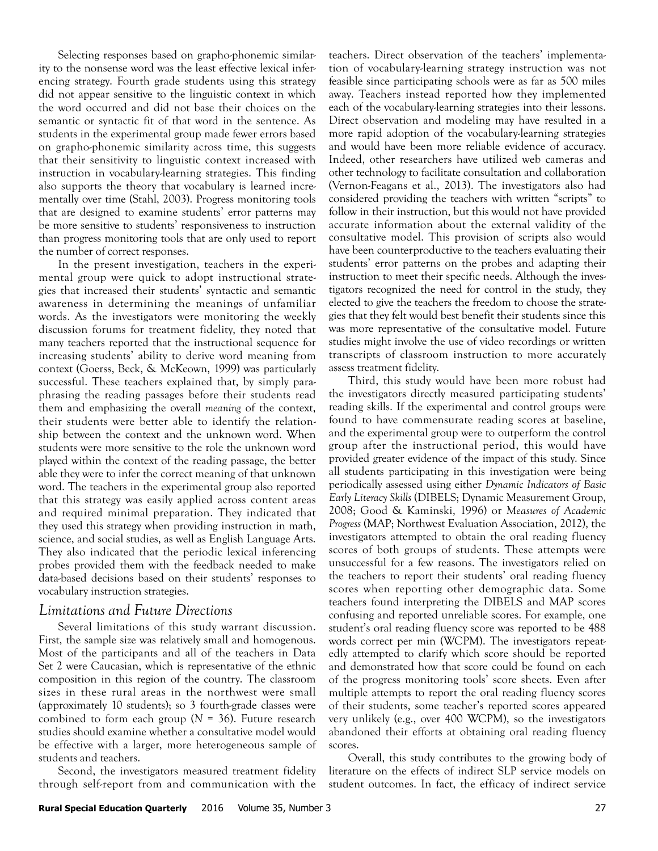Selecting responses based on grapho-phonemic similarity to the nonsense word was the least effective lexical inferencing strategy. Fourth grade students using this strategy did not appear sensitive to the linguistic context in which the word occurred and did not base their choices on the semantic or syntactic fit of that word in the sentence. As students in the experimental group made fewer errors based on grapho-phonemic similarity across time, this suggests that their sensitivity to linguistic context increased with instruction in vocabulary-learning strategies. This finding also supports the theory that vocabulary is learned incrementally over time (Stahl, 2003). Progress monitoring tools that are designed to examine students' error patterns may be more sensitive to students' responsiveness to instruction than progress monitoring tools that are only used to report the number of correct responses.

In the present investigation, teachers in the experimental group were quick to adopt instructional strategies that increased their students' syntactic and semantic awareness in determining the meanings of unfamiliar words. As the investigators were monitoring the weekly discussion forums for treatment fidelity, they noted that many teachers reported that the instructional sequence for increasing students' ability to derive word meaning from context (Goerss, Beck, & McKeown, 1999) was particularly successful. These teachers explained that, by simply paraphrasing the reading passages before their students read them and emphasizing the overall *meaning* of the context, their students were better able to identify the relationship between the context and the unknown word. When students were more sensitive to the role the unknown word played within the context of the reading passage, the better able they were to infer the correct meaning of that unknown word. The teachers in the experimental group also reported that this strategy was easily applied across content areas and required minimal preparation. They indicated that they used this strategy when providing instruction in math, science, and social studies, as well as English Language Arts. They also indicated that the periodic lexical inferencing probes provided them with the feedback needed to make data-based decisions based on their students' responses to vocabulary instruction strategies.

### *Limitations and Future Directions*

Several limitations of this study warrant discussion. First, the sample size was relatively small and homogenous. Most of the participants and all of the teachers in Data Set 2 were Caucasian, which is representative of the ethnic composition in this region of the country. The classroom sizes in these rural areas in the northwest were small (approximately 10 students); so 3 fourth-grade classes were combined to form each group (*N* = 36). Future research studies should examine whether a consultative model would be effective with a larger, more heterogeneous sample of students and teachers.

Second, the investigators measured treatment fidelity through self-report from and communication with the

teachers. Direct observation of the teachers' implementation of vocabulary-learning strategy instruction was not feasible since participating schools were as far as 500 miles away. Teachers instead reported how they implemented each of the vocabulary-learning strategies into their lessons. Direct observation and modeling may have resulted in a more rapid adoption of the vocabulary-learning strategies and would have been more reliable evidence of accuracy. Indeed, other researchers have utilized web cameras and other technology to facilitate consultation and collaboration (Vernon-Feagans et al., 2013). The investigators also had considered providing the teachers with written "scripts" to follow in their instruction, but this would not have provided accurate information about the external validity of the consultative model. This provision of scripts also would have been counterproductive to the teachers evaluating their students' error patterns on the probes and adapting their instruction to meet their specific needs. Although the investigators recognized the need for control in the study, they elected to give the teachers the freedom to choose the strategies that they felt would best benefit their students since this was more representative of the consultative model. Future studies might involve the use of video recordings or written transcripts of classroom instruction to more accurately assess treatment fidelity.

Third, this study would have been more robust had the investigators directly measured participating students' reading skills. If the experimental and control groups were found to have commensurate reading scores at baseline, and the experimental group were to outperform the control group after the instructional period, this would have provided greater evidence of the impact of this study. Since all students participating in this investigation were being periodically assessed using either *Dynamic Indicators of Basic Early Literacy Skills* (DIBELS; Dynamic Measurement Group, 2008; Good & Kaminski, 1996) or *Measures of Academic Progress* (MAP; Northwest Evaluation Association, 2012), the investigators attempted to obtain the oral reading fluency scores of both groups of students. These attempts were unsuccessful for a few reasons. The investigators relied on the teachers to report their students' oral reading fluency scores when reporting other demographic data. Some teachers found interpreting the DIBELS and MAP scores confusing and reported unreliable scores. For example, one student's oral reading fluency score was reported to be 488 words correct per min (WCPM). The investigators repeatedly attempted to clarify which score should be reported and demonstrated how that score could be found on each of the progress monitoring tools' score sheets. Even after multiple attempts to report the oral reading fluency scores of their students, some teacher's reported scores appeared very unlikely (e.g., over 400 WCPM), so the investigators abandoned their efforts at obtaining oral reading fluency scores.

Overall, this study contributes to the growing body of literature on the effects of indirect SLP service models on student outcomes. In fact, the efficacy of indirect service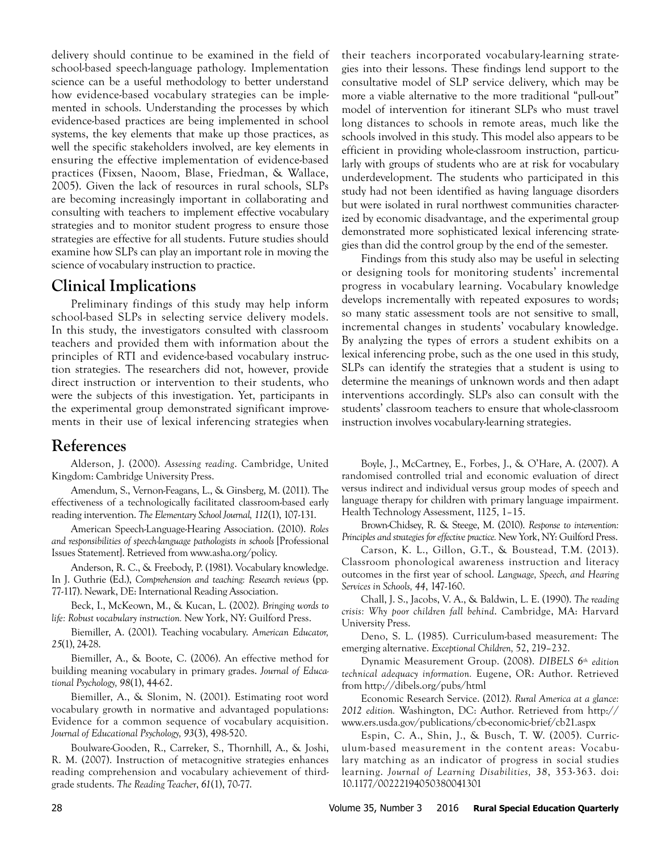delivery should continue to be examined in the field of school-based speech-language pathology. Implementation science can be a useful methodology to better understand how evidence-based vocabulary strategies can be implemented in schools. Understanding the processes by which evidence-based practices are being implemented in school systems, the key elements that make up those practices, as well the specific stakeholders involved, are key elements in ensuring the effective implementation of evidence-based practices (Fixsen, Naoom, Blase, Friedman, & Wallace, 2005). Given the lack of resources in rural schools, SLPs are becoming increasingly important in collaborating and consulting with teachers to implement effective vocabulary strategies and to monitor student progress to ensure those strategies are effective for all students. Future studies should examine how SLPs can play an important role in moving the science of vocabulary instruction to practice.

# **Clinical Implications**

Preliminary findings of this study may help inform school-based SLPs in selecting service delivery models. In this study, the investigators consulted with classroom teachers and provided them with information about the principles of RTI and evidence-based vocabulary instruction strategies. The researchers did not, however, provide direct instruction or intervention to their students, who were the subjects of this investigation. Yet, participants in the experimental group demonstrated significant improvements in their use of lexical inferencing strategies when

## **References**

Alderson, J. (2000). *Assessing reading*. Cambridge, United Kingdom: Cambridge University Press.

Amendum, S., Vernon-Feagans, L., & Ginsberg, M. (2011). The effectiveness of a technologically facilitated classroom-based early reading intervention. *The Elementary School Journal, 112*(1), 107-131.

American Speech-Language-Hearing Association. (2010). *Roles and responsibilities of speech-language pathologists in schools* [Professional Issues Statement]. Retrieved from www.asha.org/policy.

Anderson, R. C., & Freebody, P. (1981). Vocabulary knowledge. In J. Guthrie (Ed.), *Comprehension and teaching: Research reviews* (pp. 77-117). Newark, DE: International Reading Association.

Beck, I., McKeown, M., & Kucan, L. (2002). *Bringing words to life: Robust vocabulary instruction.* New York, NY: Guilford Press.

Biemiller, A. (2001). Teaching vocabulary. *American Educator, 25*(1), 24-28.

Biemiller, A., & Boote, C. (2006). An effective method for building meaning vocabulary in primary grades. *Journal of Educational Psychology, 98*(1), 44-62.

Biemiller, A., & Slonim, N. (2001). Estimating root word vocabulary growth in normative and advantaged populations: Evidence for a common sequence of vocabulary acquisition. *Journal of Educational Psychology, 93*(3), 498-520.

Boulware-Gooden, R., Carreker, S., Thornhill, A., & Joshi, R. M. (2007). Instruction of metacognitive strategies enhances reading comprehension and vocabulary achievement of thirdgrade students. *The Reading Teacher*, *61*(1), 70-77.

their teachers incorporated vocabulary-learning strategies into their lessons. These findings lend support to the consultative model of SLP service delivery, which may be more a viable alternative to the more traditional "pull-out" model of intervention for itinerant SLPs who must travel long distances to schools in remote areas, much like the schools involved in this study. This model also appears to be efficient in providing whole-classroom instruction, particularly with groups of students who are at risk for vocabulary underdevelopment. The students who participated in this study had not been identified as having language disorders but were isolated in rural northwest communities characterized by economic disadvantage, and the experimental group demonstrated more sophisticated lexical inferencing strategies than did the control group by the end of the semester.

Findings from this study also may be useful in selecting or designing tools for monitoring students' incremental progress in vocabulary learning. Vocabulary knowledge develops incrementally with repeated exposures to words; so many static assessment tools are not sensitive to small, incremental changes in students' vocabulary knowledge. By analyzing the types of errors a student exhibits on a lexical inferencing probe, such as the one used in this study, SLPs can identify the strategies that a student is using to determine the meanings of unknown words and then adapt interventions accordingly. SLPs also can consult with the students' classroom teachers to ensure that whole-classroom instruction involves vocabulary-learning strategies.

Boyle, J., McCartney, E., Forbes, J., & O'Hare, A. (2007). A randomised controlled trial and economic evaluation of direct versus indirect and individual versus group modes of speech and language therapy for children with primary language impairment. Health Technology Assessment, 1125, 1–15.

Brown-Chidsey, R. & Steege, M. (2010). *Response to intervention: Principles and strategies for effective practice.* New York, NY: Guilford Press.

Carson, K. L., Gillon, G.T., & Boustead, T.M. (2013). Classroom phonological awareness instruction and literacy outcomes in the first year of school. *Language, Speech, and Hearing Services in Schools, 44*, 147-160.

Chall, J. S., Jacobs, V. A., & Baldwin, L. E. (1990). *The reading crisis: Why poor children fall behind*. Cambridge, MA: Harvard University Press.

Deno, S. L. (1985). Curriculum-based measurement: The emerging alternative. *Exceptional Children,* 52, 219–232.

Dynamic Measurement Group. (2008). *DIBELS 6th edition technical adequacy information.* Eugene, OR: Author. Retrieved from http://dibels.org/pubs/html

Economic Research Service. (2012). *Rural America at a glance: 2012 edition.* Washington, DC: Author. Retrieved from http:// www.ers.usda.gov/publications/cb-economic-brief/cb21.aspx

Espin, C. A., Shin, J., & Busch, T. W. (2005). Curriculum-based measurement in the content areas: Vocabulary matching as an indicator of progress in social studies learning. *Journal of Learning Disabilities, 38*, 353-363. doi: 10.1177/00222194050380041301

28 Volume 35, Number 3 2016 **Rural Special Education Quarterly**